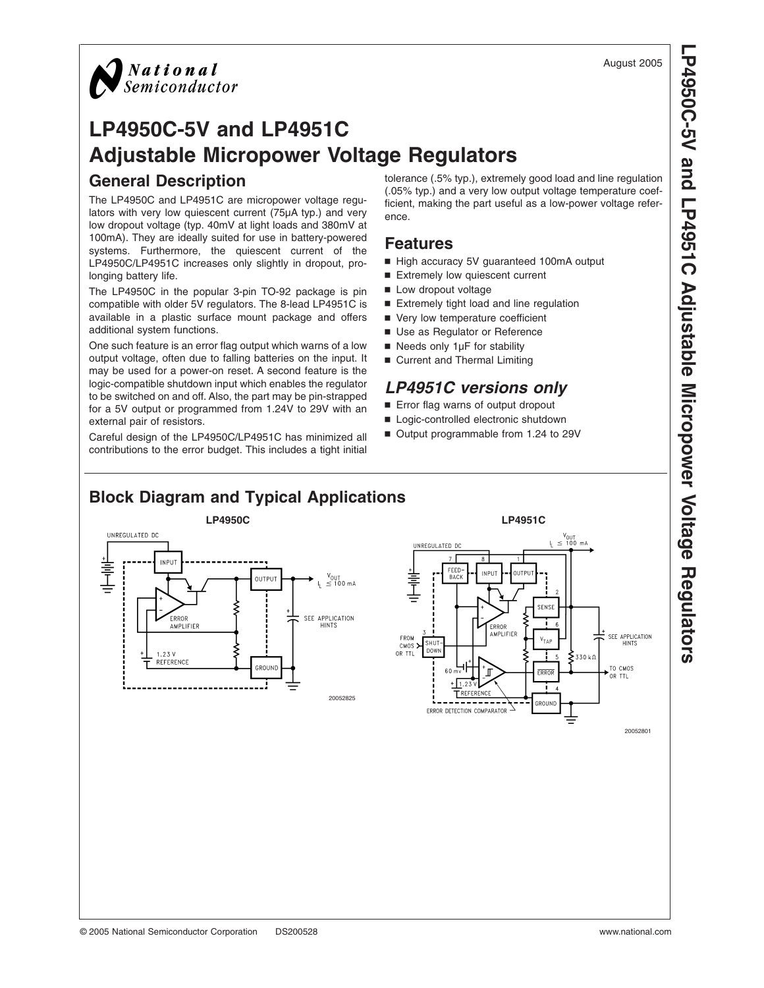**LP4950C-5V**



# **LP4950C-5V and LP4951C Adjustable Micropower Voltage Regulators General Description**

The LP4950C and LP4951C are micropower voltage regulators with very low quiescent current (75µA typ.) and very low dropout voltage (typ. 40mV at light loads and 380mV at 100mA). They are ideally suited for use in battery-powered systems. Furthermore, the quiescent current of the LP4950C/LP4951C increases only slightly in dropout, prolonging battery life.

The LP4950C in the popular 3-pin TO-92 package is pin compatible with older 5V regulators. The 8-lead LP4951C is available in a plastic surface mount package and offers additional system functions.

One such feature is an error flag output which warns of a low output voltage, often due to falling batteries on the input. It may be used for a power-on reset. A second feature is the logic-compatible shutdown input which enables the regulator to be switched on and off. Also, the part may be pin-strapped for a 5V output or programmed from 1.24V to 29V with an external pair of resistors.

Careful design of the LP4950C/LP4951C has minimized all contributions to the error budget. This includes a tight initial tolerance (.5% typ.), extremely good load and line regulation (.05% typ.) and a very low output voltage temperature coefficient, making the part useful as a low-power voltage reference.

#### **Features**

- High accuracy 5V guaranteed 100mA output
- Extremely low quiescent current
- **Low dropout voltage**
- Extremely tight load and line regulation
- very low temperature coefficient
- Use as Regulator or Reference
- Needs only 1uF for stability
- Current and Thermal Limiting

## *LP4951C versions only*

- Error flag warns of output dropout
- Logic-controlled electronic shutdown
- Output programmable from 1.24 to 29V

# **Block Diagram and Typical Applications**





 **and LP4951CAdjustableMicropower Voltage Regulators**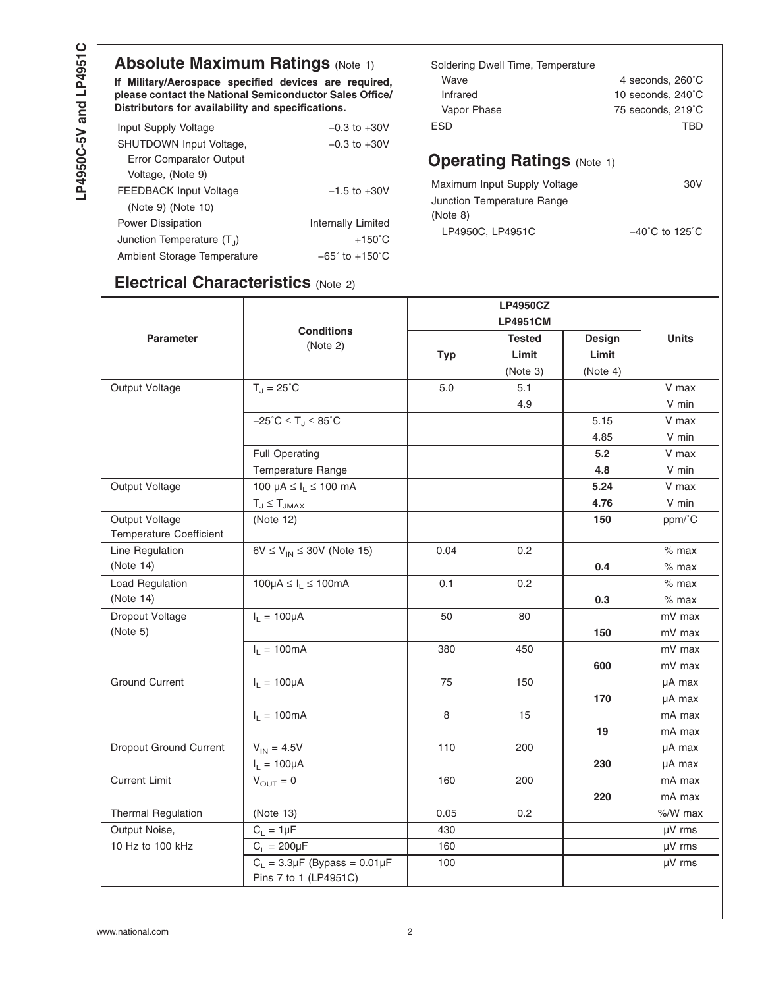# **Absolute Maximum Ratings [\(Note 1\)](#page-2-0)**

**If Military/Aerospace specified devices are required, please contact the National Semiconductor Sales Office/ Distributors for availability and specifications.**

| Input Supply Voltage               | $-0.3$ to $+30V$                  |
|------------------------------------|-----------------------------------|
| SHUTDOWN Input Voltage,            | $-0.3$ to $+30V$                  |
| <b>Error Comparator Output</b>     |                                   |
| Voltage, (Note 9)                  |                                   |
| FEEDBACK Input Voltage             | $-1.5$ to $+30V$                  |
| (Note 9) (Note 10)                 |                                   |
| <b>Power Dissipation</b>           | <b>Internally Limited</b>         |
| Junction Temperature $(T_1)$       | $+150^{\circ}$ C                  |
| <b>Ambient Storage Temperature</b> | $-65^{\circ}$ to $+150^{\circ}$ C |
|                                    |                                   |

Soldering Dwell Time, Temperature Wave Infrared Vapor Phase 4 seconds, 260˚C 10 seconds, 240˚C 75 seconds, 219˚C ESD TBD

## **Operating Ratings [\(Note 1\)](#page-2-0)**

| Maximum Input Supply Voltage | 30V                                 |
|------------------------------|-------------------------------------|
| Junction Temperature Range   |                                     |
| (Note 8)                     |                                     |
| LP4950C, LP4951C             | $-40^{\circ}$ C to 125 $^{\circ}$ C |

# **Electrical Characteristics** [\(Note 2\)](#page-2-0)

|                                |                                                                   | <b>LP4950CZ</b> |               |               |              |
|--------------------------------|-------------------------------------------------------------------|-----------------|---------------|---------------|--------------|
|                                |                                                                   | <b>LP4951CM</b> |               |               |              |
| <b>Parameter</b>               | <b>Conditions</b>                                                 |                 | <b>Tested</b> | <b>Design</b> | <b>Units</b> |
|                                | (Note 2)                                                          | <b>Typ</b>      | Limit         | Limit         |              |
|                                |                                                                   |                 | (Note 3)      | (Note 4)      |              |
| Output Voltage                 | $T_{J} = 25^{\circ}C$                                             | 5.0             | 5.1           |               | V max        |
|                                |                                                                   |                 | 4.9           |               | V min        |
|                                | $-25^{\circ}C \leq T_J \leq 85^{\circ}C$                          |                 |               | 5.15          | V max        |
|                                |                                                                   |                 |               | 4.85          | V min        |
|                                | <b>Full Operating</b>                                             |                 |               | 5.2           | V max        |
|                                | Temperature Range                                                 |                 |               | 4.8           | V min        |
| Output Voltage                 | 100 µA $\leq$ $I_L \leq$ 100 mA                                   |                 |               | 5.24          | V max        |
|                                | $T_J \leq T_{JMAX}$                                               |                 |               | 4.76          | V min        |
| Output Voltage                 | (Note 12)                                                         |                 |               | 150           | ppm/°C       |
| <b>Temperature Coefficient</b> |                                                                   |                 |               |               |              |
| Line Regulation                | $6V \le V_{IN} \le 30V$ (Note 15)                                 | 0.04            | 0.2           |               | $%$ max      |
| (Note 14)                      |                                                                   |                 |               | 0.4           | $%$ max      |
| <b>Load Regulation</b>         | $100\mu A \leq I_L \leq 100mA$                                    | 0.1             | 0.2           |               | $%$ max      |
| (Note 14)                      |                                                                   |                 |               | 0.3           | $%$ max      |
| Dropout Voltage                | $I_L = 100 \mu A$                                                 | 50              | 80            |               | mV max       |
| (Note 5)                       |                                                                   |                 |               | 150           | mV max       |
|                                | $I_L = 100mA$                                                     | 380             | 450           |               | mV max       |
|                                |                                                                   |                 |               | 600           | mV max       |
| <b>Ground Current</b>          | $I_1 = 100 \mu A$                                                 | 75              | 150           |               | µA max       |
|                                |                                                                   |                 |               | 170           | µA max       |
|                                | $I_1 = 100mA$                                                     | 8               | 15            |               | mA max       |
|                                |                                                                   |                 |               | 19            | mA max       |
| <b>Dropout Ground Current</b>  | $V_{IN} = 4.5V$                                                   | 110             | 200           |               | µA max       |
|                                | $I_L = 100 \mu A$                                                 |                 |               | 230           | µA max       |
| <b>Current Limit</b>           | $V_{\text{OUT}} = 0$                                              | 160             | 200           |               | mA max       |
|                                |                                                                   |                 |               | 220           | mA max       |
| <b>Thermal Regulation</b>      | (Note 13)                                                         | 0.05            | 0.2           |               | %/W max      |
| Output Noise,                  | $C_L = 1 \mu F$                                                   | 430             |               |               | µV rms       |
| 10 Hz to 100 kHz               | $C_L = 200 \mu F$                                                 | 160             |               |               | µV rms       |
|                                | $C_L = 3.3 \mu F$ (Bypass = 0.01 $\mu F$<br>Pins 7 to 1 (LP4951C) | 100             |               |               | µV rms       |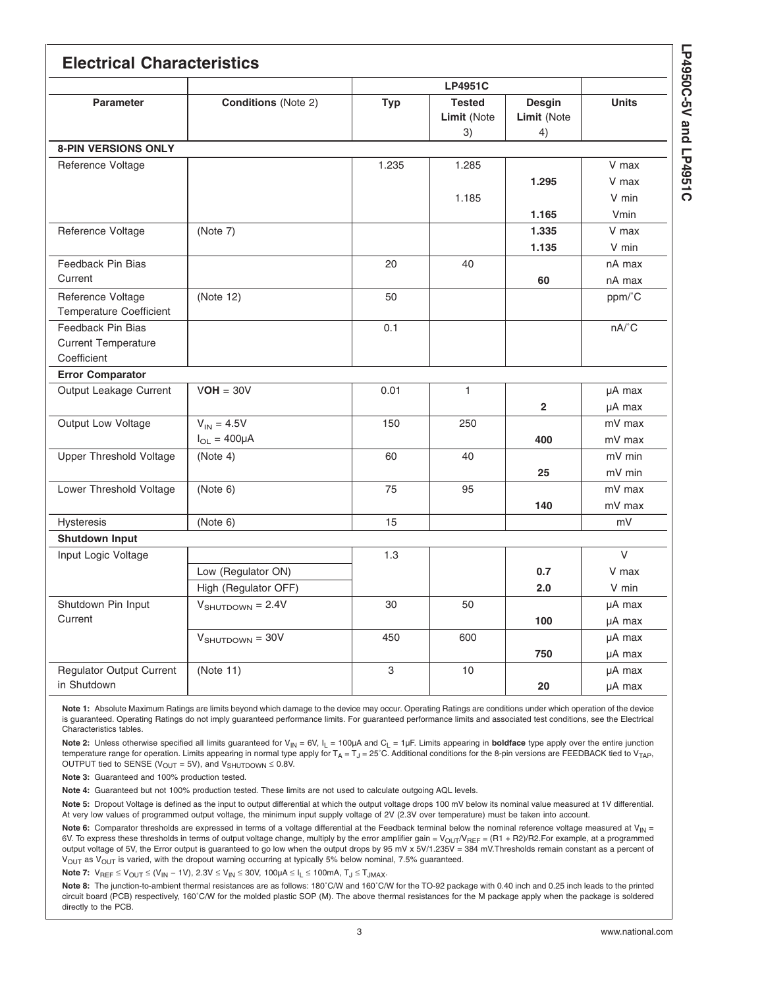<span id="page-2-0"></span>

| <b>Electrical Characteristics</b>                              |                                            |            |                                    |                             |                          |
|----------------------------------------------------------------|--------------------------------------------|------------|------------------------------------|-----------------------------|--------------------------|
|                                                                |                                            |            | <b>LP4951C</b>                     |                             |                          |
| <b>Parameter</b>                                               | <b>Conditions (Note 2)</b>                 | <b>Typ</b> | <b>Tested</b><br>Limit (Note<br>3) | Desgin<br>Limit (Note<br>4) | <b>Units</b>             |
| <b>8-PIN VERSIONS ONLY</b>                                     |                                            |            |                                    |                             |                          |
| Reference Voltage                                              |                                            | 1.235      | 1.285<br>1.185                     | 1.295                       | V max<br>V max<br>V min  |
|                                                                |                                            |            |                                    | 1.165                       | Vmin                     |
| Reference Voltage                                              | (Note 7)                                   |            |                                    | 1.335<br>1.135              | V max<br>V min           |
| Feedback Pin Bias<br>Current                                   |                                            | 20         | 40                                 | 60                          | nA max<br>nA max         |
| Reference Voltage<br><b>Temperature Coefficient</b>            | (Note 12)                                  | 50         |                                    |                             | ppm/°C                   |
| Feedback Pin Bias<br><b>Current Temperature</b><br>Coefficient |                                            | 0.1        |                                    |                             | $nA$ <sup>°</sup> C      |
| <b>Error Comparator</b>                                        |                                            |            |                                    |                             |                          |
| Output Leakage Current                                         | $VOH = 30V$                                | 0.01       | $\mathbf{1}$                       | $\overline{2}$              | µA max<br>µA max         |
| Output Low Voltage                                             | $V_{IN} = 4.5V$<br>$I_{OL} = 400 \mu A$    | 150        | 250                                | 400                         | mV max<br>mV max         |
| <b>Upper Threshold Voltage</b>                                 | (Note 4)                                   | 60         | 40                                 | 25                          | mV min<br>mV min         |
| Lower Threshold Voltage                                        | (Note 6)                                   | 75         | 95                                 | 140                         | mV max<br>mV max         |
| <b>Hysteresis</b>                                              | (Note 6)                                   | 15         |                                    |                             | mV                       |
| <b>Shutdown Input</b>                                          |                                            |            |                                    |                             |                          |
| Input Logic Voltage                                            | Low (Regulator ON)<br>High (Regulator OFF) | 1.3        |                                    | 0.7<br>2.0                  | $\vee$<br>V max<br>V min |
| Shutdown Pin Input<br>Current                                  | $VSHUTDOWN = 2.4V$                         | 30         | 50                                 | 100                         | µA max<br>µA max         |
|                                                                | $VSHUTDOWN = 30V$                          | 450        | 600                                | 750                         | µA max<br>µA max         |
| <b>Regulator Output Current</b><br>in Shutdown                 | (Note 11)                                  | 3          | 10                                 | 20                          | µA max<br>µA max         |

**Note 1:** Absolute Maximum Ratings are limits beyond which damage to the device may occur. Operating Ratings are conditions under which operation of the device is guaranteed. Operating Ratings do not imply guaranteed performance limits. For guaranteed performance limits and associated test conditions, see the Electrical Characteristics tables.

Note 2: Unless otherwise specified all limits guaranteed for V<sub>IN</sub> = 6V, I<sub>L</sub> = 100µA and C<sub>L</sub> = 1µF. Limits appearing in **boldface** type apply over the entire junction temperature range for operation. Limits appearing in normal type apply for  $T_A = T_J = 25$ °C. Additional conditions for the 8-pin versions are FEEDBACK tied to V<sub>TAP</sub>, OUTPUT tied to SENSE ( $V_{\text{OUT}} = 5V$ ), and  $V_{\text{SHUTDOWN}} \le 0.8V$ .

**Note 3:** Guaranteed and 100% production tested.

**Note 4:** Guaranteed but not 100% production tested. These limits are not used to calculate outgoing AQL levels.

Note 5: Dropout Voltage is defined as the input to output differential at which the output voltage drops 100 mV below its nominal value measured at 1V differential. At very low values of programmed output voltage, the minimum input supply voltage of 2V (2.3V over temperature) must be taken into account.

Note 6: Comparator thresholds are expressed in terms of a voltage differential at the Feedback terminal below the nominal reference voltage measured at  $V_{IN}$  = 6V. To express these thresholds in terms of output voltage change, multiply by the error amplifier gain =  $V_{OUT}/V_{REF}$  = (R1 + R2)/R2.For example, at a programmed output voltage of 5V, the Error output is guaranteed to go low when the output drops by 95 mV x 5V/1.235V = 384 mV. Thresholds remain constant as a percent of V<sub>OUT</sub> as V<sub>OUT</sub> is varied, with the dropout warning occurring at typically 5% below nominal, 7.5% guaranteed.

**Note 7:**  $V_{REF}$  ≤  $V_{OUT}$  ≤  $(V_{IN}$  – 1V), 2.3V ≤  $V_{IN}$  ≤ 30V, 100µA ≤  $I_L$  ≤ 100mA,  $T_J$  ≤  $T_{JMAX}$ .

**Note 8:** The junction-to-ambient thermal resistances are as follows: 180˚C/W and 160˚C/W for the TO-92 package with 0.40 inch and 0.25 inch leads to the printed circuit board (PCB) respectively, 160˚C/W for the molded plastic SOP (M). The above thermal resistances for the M package apply when the package is soldered directly to the PCB.

**LP4950C-5V**

 **and** 

**LP4951C**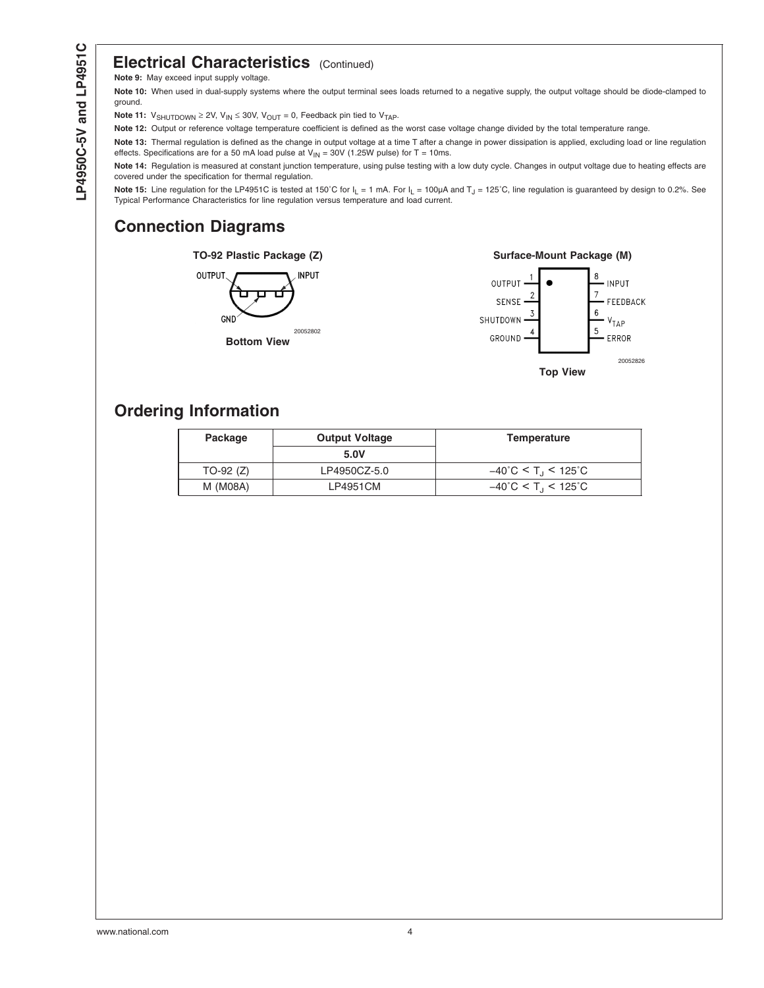#### <span id="page-3-0"></span>**Electrical Characteristics** (Continued)

**Note 9:** May exceed input supply voltage.

**Note 10:** When used in dual-supply systems where the output terminal sees loads returned to a negative supply, the output voltage should be diode-clamped to ground.

**Note 11:**  $V_{SHUTDOWN} \ge 2V$ ,  $V_{IN} \le 30V$ ,  $V_{OUT} = 0$ , Feedback pin tied to  $V_{TAP}$ .

**Note 12:** Output or reference voltage temperature coefficient is defined as the worst case voltage change divided by the total temperature range.

**Note 13:** Thermal regulation is defined as the change in output voltage at a time T after a change in power dissipation is applied, excluding load or line regulation effects. Specifications are for a 50 mA load pulse at  $V_{IN}$  = 30V (1.25W pulse) for T = 10ms.

Note 14: Regulation is measured at constant junction temperature, using pulse testing with a low duty cycle. Changes in output voltage due to heating effects are covered under the specification for thermal regulation.

Note 15: Line regulation for the LP4951C is tested at 150°C for I<sub>L</sub> = 1 mA. For I<sub>L</sub> = 100µA and T<sub>J</sub> = 125°C, line regulation is guaranteed by design to 0.2%. See Typical Performance Characteristics for line regulation versus temperature and load current.

# **Connection Diagrams**









# **Ordering Information**

| Package     | <b>Output Voltage</b> | Temperature                                          |  |
|-------------|-----------------------|------------------------------------------------------|--|
|             | 5.0V                  |                                                      |  |
| $TO-92 (Z)$ | LP4950CZ-5.0          | $-40^{\circ}$ C < T <sub>1</sub> < 125 $^{\circ}$ C  |  |
| M (M08A)    | LP4951CM              | $-40^{\circ}$ C < T <sub>.1</sub> < 125 $^{\circ}$ C |  |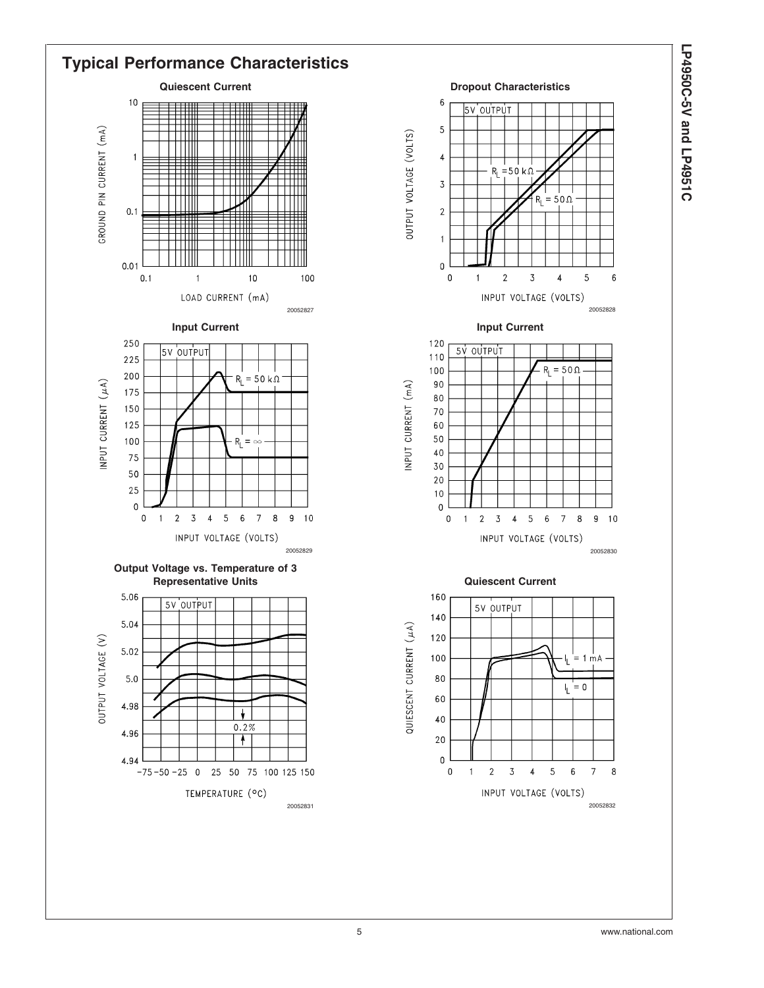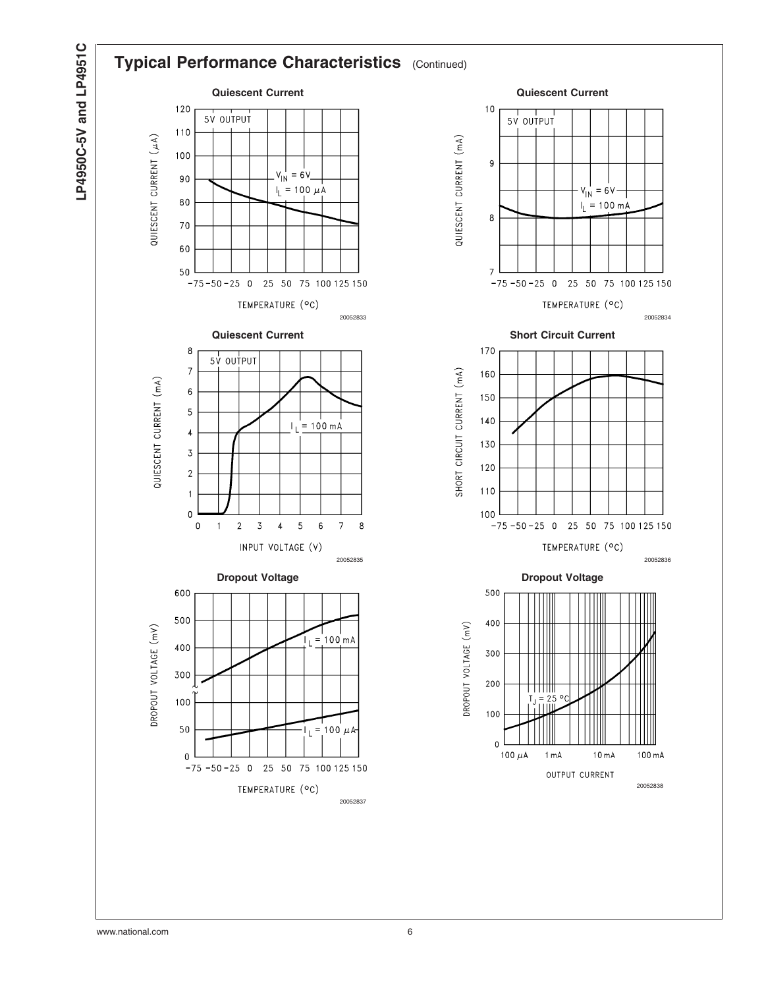



20052838

100 mA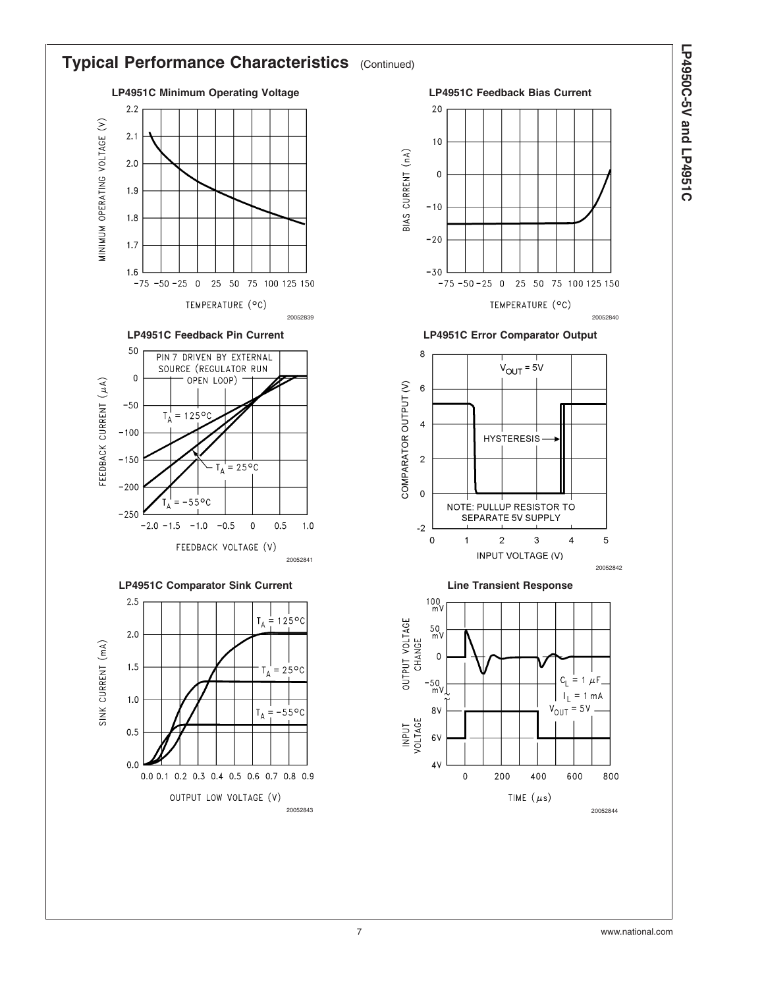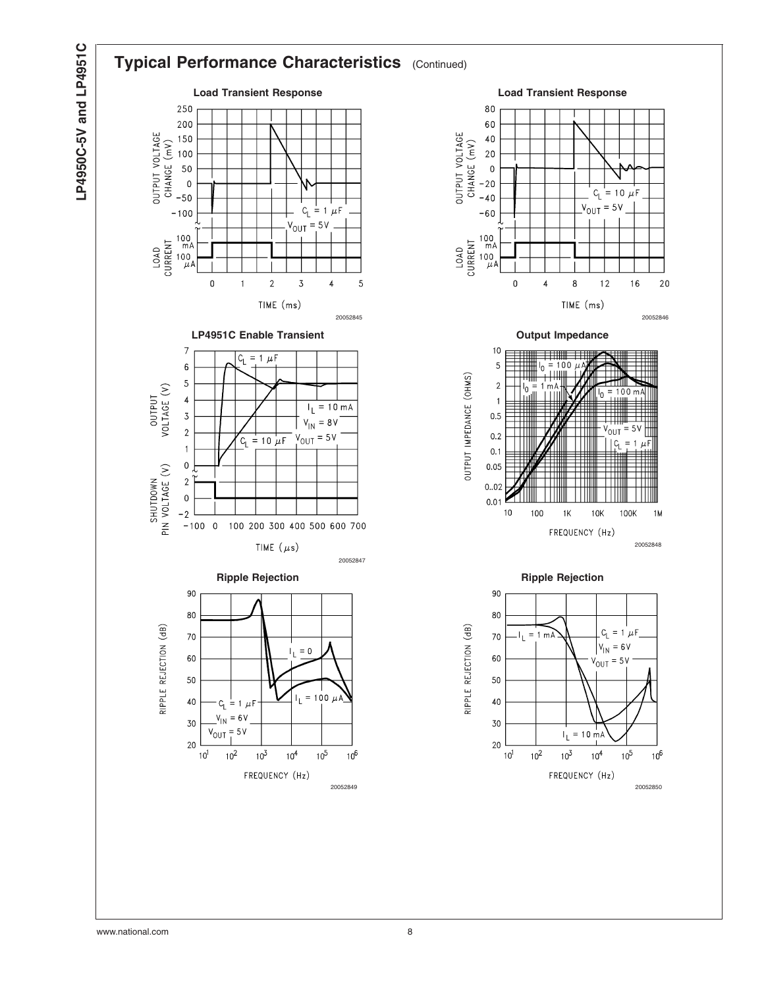

#### **Typical Performance Characteristics** (Continued) **Load Transient Response Load Transient Response** 250 200 OUTPUT VOLTAGE<br>CHANGE (mV)  $\frac{1}{2}$ <br>  $\frac{1}{2}$ <br>  $\frac{1}{2}$ <br>  $\frac{1}{2}$ <br>  $\frac{1}{2}$ <br>  $\frac{1}{2}$ <br>  $\frac{1}{2}$ <br>  $\frac{1}{2}$ <br>  $\frac{1}{2}$ <br>  $\frac{1}{2}$ <br>  $\frac{1}{2}$ <br>  $\frac{1}{2}$ <br>  $\frac{1}{2}$ <br>  $\frac{1}{2}$ <br>  $\frac{1}{2}$ <br>  $\frac{1}{2}$ <br>  $\frac{1}{2}$ <br>  $\frac{1}{2}$ <br>  $\frac{1}{2}$ <br>  $\frac{1}{2}$ <br> OUTPUT VOLTAGE  $= 1 \mu F$  $\mathrm{C}_{\mathrm{L}}$  $-100$  $V_{\text{OUT}} = 5V$  $\begin{array}{c}\n100 \\
mA \\
100 \\
\mu A\n\end{array}$ LOAD<br>CURRENT LOAD<br>CURRENT  $\pmb{0}$  $\mathbf{1}$  $\mathbf 2$  $\mathfrak{Z}$  $\overline{4}$ 5 TIME (ms) LP4951C Enable Transient **COUTF COUPS** Cutput Impedance  $\overline{7}$  $C_{L}$  $= 1 \mu F$ 6 OUTPUT IMPEDANCE (OHMS) 5 VOLTAGE<sup>(V)</sup> **OUTPUT**  $\overline{\mathbf{4}}$  $I_L = 10 \text{ mA}$  $\overline{3}$  $V_{\text{IN}} = 8V$  $\overline{c}$  $V_{\text{OUT}} = 5V$  $= 10 \mu F$  $C_{\text{I}}$  $\overline{1}$  $\mathbf 0$ PIN VOLTAGE (V)  $\overline{c}$ **SHUTDOWN**  $\overline{0}$  $-2$  $-100$  0 100 200 300 400 500 600 700 TIME  $(\mu s)$ 20052847 **Ripple Rejection Contracts Ripple Rejection** 90 80 RIPPLE REJECTION (dB) RIPPLE REJECTION (dB) 70  $= 0$ 60 50  $= 100 \mu A$ η.  $40\,$  $c_{\rm L}$  $= 1 \mu F$  $V_{\text{IN}}$  $= 6V$  $30\,$  $5V$  $V_{\text{OUT}}$ 20  $10<sup>1</sup>$  $10^{2}$  $10<sup>4</sup>$  $10<sup>5</sup>$  $10^{6}$  $10^3$ FREQUENCY (Hz) 20052849 20052850

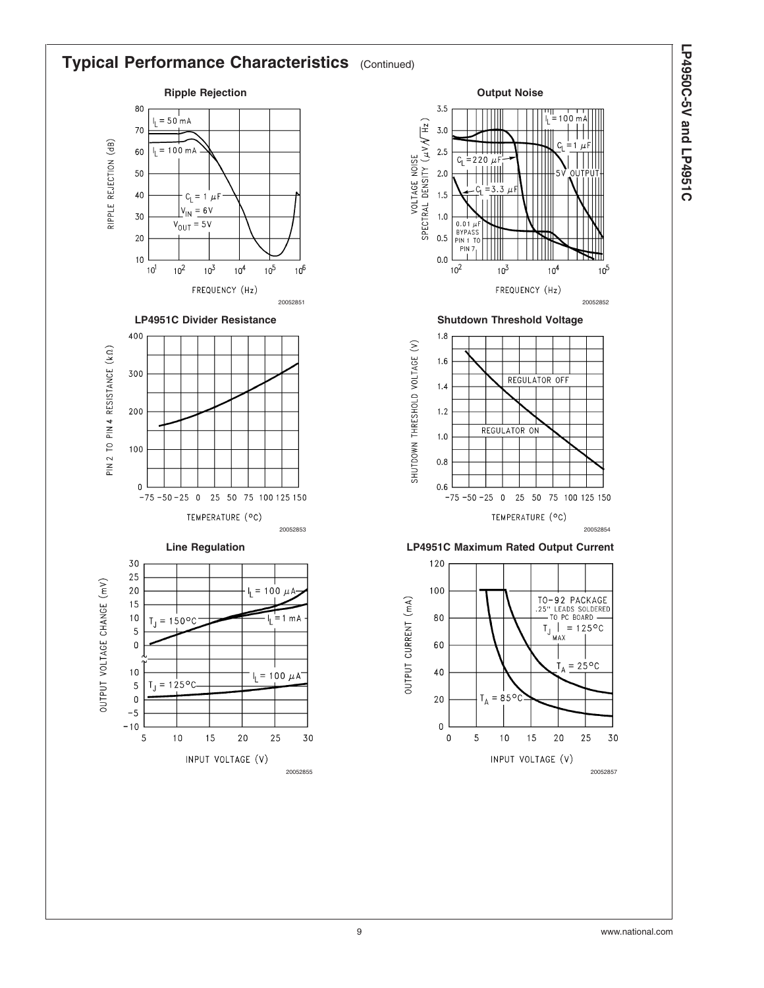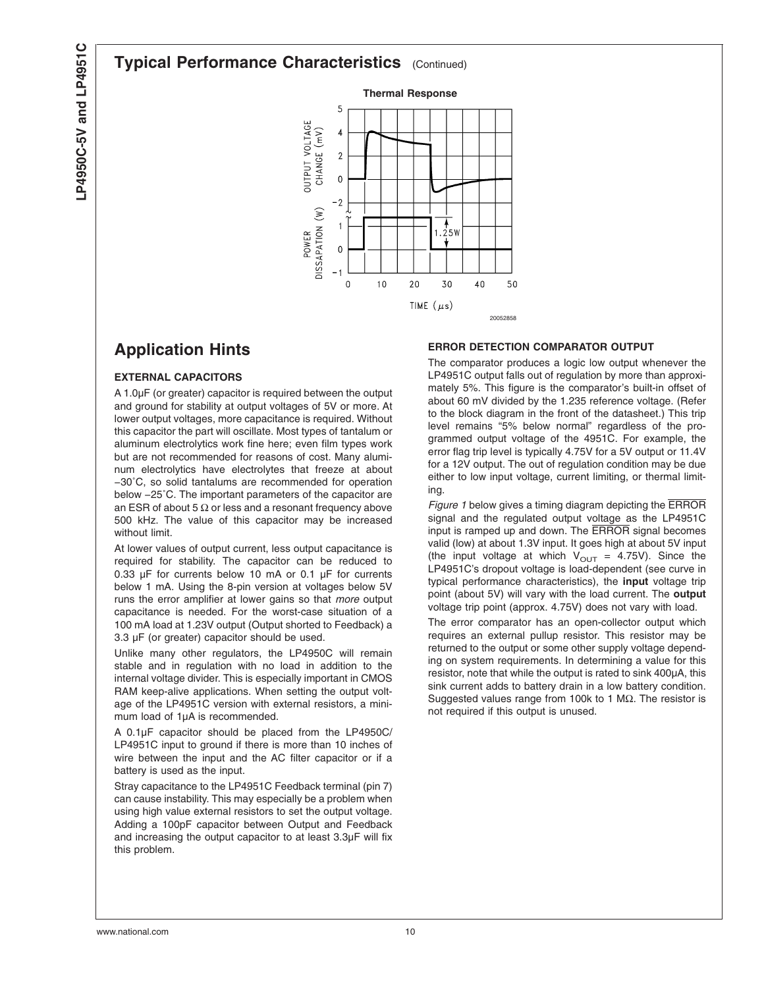# P4950C-5V and LP4951C **LP4950C-5V and LP4951C**

#### **Typical Performance Characteristics** (Continued)



# **Application Hints**

#### **EXTERNAL CAPACITORS**

A 1.0µF (or greater) capacitor is required between the output and ground for stability at output voltages of 5V or more. At lower output voltages, more capacitance is required. Without this capacitor the part will oscillate. Most types of tantalum or aluminum electrolytics work fine here; even film types work but are not recommended for reasons of cost. Many aluminum electrolytics have electrolytes that freeze at about −30˚C, so solid tantalums are recommended for operation below −25˚C. The important parameters of the capacitor are an ESR of about 5  $\Omega$  or less and a resonant frequency above 500 kHz. The value of this capacitor may be increased without limit.

At lower values of output current, less output capacitance is required for stability. The capacitor can be reduced to 0.33  $\mu$ F for currents below 10 mA or 0.1  $\mu$ F for currents below 1 mA. Using the 8-pin version at voltages below 5V runs the error amplifier at lower gains so that *more* output capacitance is needed. For the worst-case situation of a 100 mA load at 1.23V output (Output shorted to Feedback) a 3.3 µF (or greater) capacitor should be used.

Unlike many other regulators, the LP4950C will remain stable and in regulation with no load in addition to the internal voltage divider. This is especially important in CMOS RAM keep-alive applications. When setting the output voltage of the LP4951C version with external resistors, a minimum load of 1µA is recommended.

A 0.1µF capacitor should be placed from the LP4950C/ LP4951C input to ground if there is more than 10 inches of wire between the input and the AC filter capacitor or if a battery is used as the input.

Stray capacitance to the LP4951C Feedback terminal (pin 7) can cause instability. This may especially be a problem when using high value external resistors to set the output voltage. Adding a 100pF capacitor between Output and Feedback and increasing the output capacitor to at least 3.3µF will fix this problem.

#### **ERROR DETECTION COMPARATOR OUTPUT**

The comparator produces a logic low output whenever the LP4951C output falls out of regulation by more than approximately 5%. This figure is the comparator's built-in offset of about 60 mV divided by the 1.235 reference voltage. (Refer to the block diagram in the front of the datasheet.) This trip level remains "5% below normal" regardless of the programmed output voltage of the 4951C. For example, the error flag trip level is typically 4.75V for a 5V output or 11.4V for a 12V output. The out of regulation condition may be due either to low input voltage, current limiting, or thermal limiting.

*[Figure 1](#page-10-0)* below gives a timing diagram depicting the ERROR signal and the regulated output voltage as the LP4951C input is ramped up and down. The ERROR signal becomes valid (low) at about 1.3V input. It goes high at about 5V input (the input voltage at which  $V_{\text{OUT}} = 4.75V$ ). Since the LP4951C's dropout voltage is load-dependent (see curve in typical performance characteristics), the **input** voltage trip point (about 5V) will vary with the load current. The **output** voltage trip point (approx. 4.75V) does not vary with load.

The error comparator has an open-collector output which requires an external pullup resistor. This resistor may be returned to the output or some other supply voltage depending on system requirements. In determining a value for this resistor, note that while the output is rated to sink 400µA, this sink current adds to battery drain in a low battery condition. Suggested values range from 100k to 1 MΩ. The resistor is not required if this output is unused.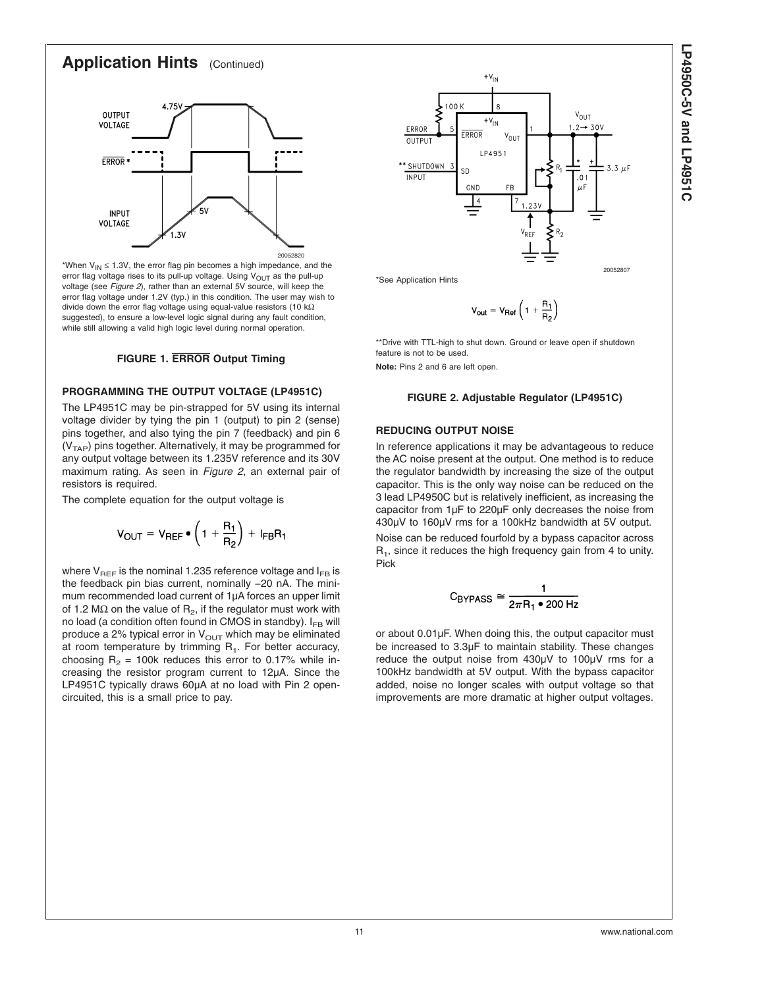## <span id="page-10-0"></span>**Application Hints** (Continued)



\*When  $V_{IN} \le 1.3V$ , the error flag pin becomes a high impedance, and the error flag voltage rises to its pull-up voltage. Using  $V_{OUT}$  as the pull-up voltage (see *Figure 2*), rather than an external 5V source, will keep the error flag voltage under 1.2V (typ.) in this condition. The user may wish to divide down the error flag voltage using equal-value resistors (10 kΩ suggested), to ensure a low-level logic signal during any fault condition, while still allowing a valid high logic level during normal operation.

#### **FIGURE 1. ERROR Output Timing**

#### **PROGRAMMING THE OUTPUT VOLTAGE (LP4951C)**

The LP4951C may be pin-strapped for 5V using its internal voltage divider by tying the pin 1 (output) to pin 2 (sense) pins together, and also tying the pin 7 (feedback) and pin 6  $(V<sub>TAP</sub>)$  pins together. Alternatively, it may be programmed for any output voltage between its 1.235V reference and its 30V maximum rating. As seen in *Figure 2*, an external pair of resistors is required.

The complete equation for the output voltage is

$$
V_{OUT} = V_{REF} \bullet \left(1 + \frac{R_1}{R_2}\right) + I_{FB}R_1
$$

where  $V_{\text{REF}}$  is the nominal 1.235 reference voltage and  $I_{FB}$  is the feedback pin bias current, nominally −20 nA. The minimum recommended load current of 1µA forces an upper limit of 1.2 M $\Omega$  on the value of  $R_2$ , if the regulator must work with no load (a condition often found in CMOS in standby).  $I_{FB}$  will produce a 2% typical error in  $V_{\text{OUT}}$  which may be eliminated at room temperature by trimming  $R_1$ . For better accuracy, choosing  $R_2$  = 100k reduces this error to 0.17% while increasing the resistor program current to 12µA. Since the LP4951C typically draws 60µA at no load with Pin 2 opencircuited, this is a small price to pay.



\*See Application Hints

$$
V_{out}=V_{Ref}\left(1+\frac{R_1}{R_2}\right)
$$

\*\*Drive with TTL-high to shut down. Ground or leave open if shutdown feature is not to be used.

**Note:** Pins 2 and 6 are left open.

#### **FIGURE 2. Adjustable Regulator (LP4951C)**

#### **REDUCING OUTPUT NOISE**

In reference applications it may be advantageous to reduce the AC noise present at the output. One method is to reduce the regulator bandwidth by increasing the size of the output capacitor. This is the only way noise can be reduced on the 3 lead LP4950C but is relatively inefficient, as increasing the capacitor from 1µF to 220µF only decreases the noise from 430µV to 160µV rms for a 100kHz bandwidth at 5V output. Noise can be reduced fourfold by a bypass capacitor across  $R_1$ , since it reduces the high frequency gain from 4 to unity. Pick

$$
C_{\text{BYPASS}} \cong \frac{1}{2\pi R_1 \cdot 200 \text{ Hz}}
$$

or about 0.01µF. When doing this, the output capacitor must be increased to 3.3µF to maintain stability. These changes reduce the output noise from 430µV to 100µV rms for a 100kHz bandwidth at 5V output. With the bypass capacitor added, noise no longer scales with output voltage so that improvements are more dramatic at higher output voltages.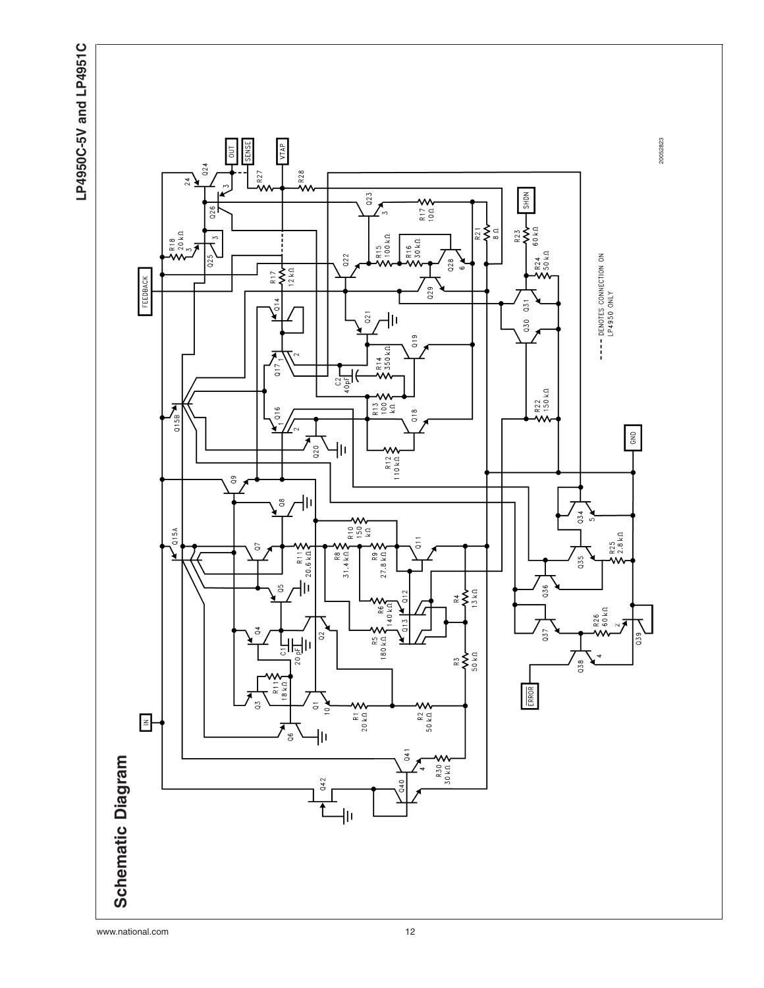

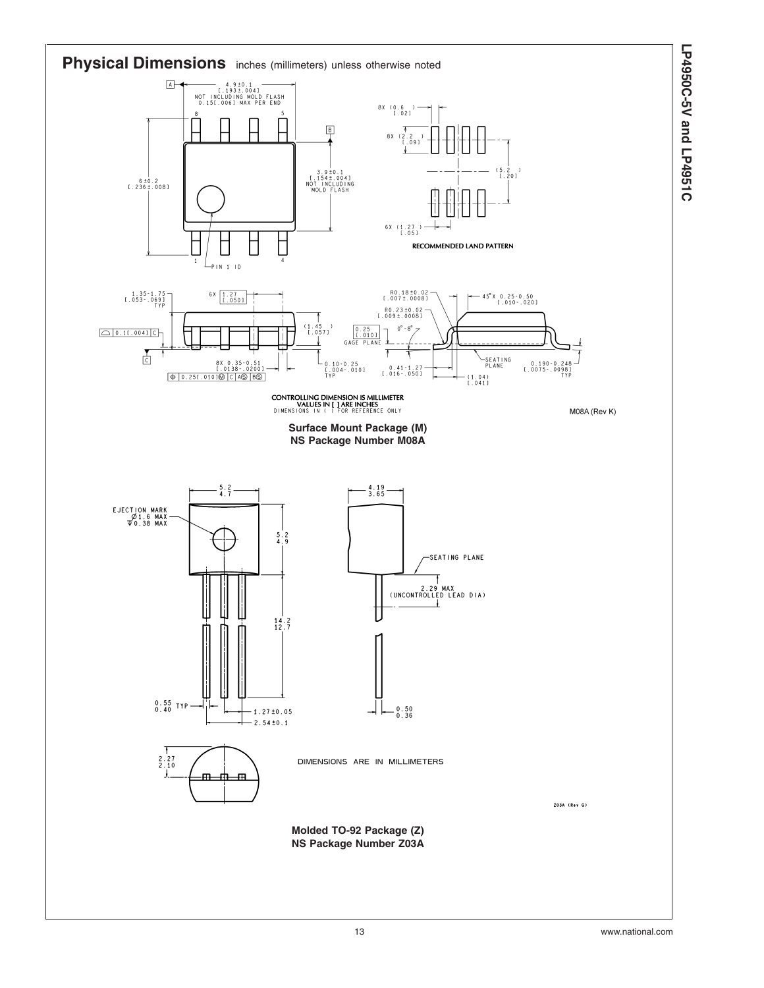

**LP4950C-5V**

 **and** 

**LP4951C**